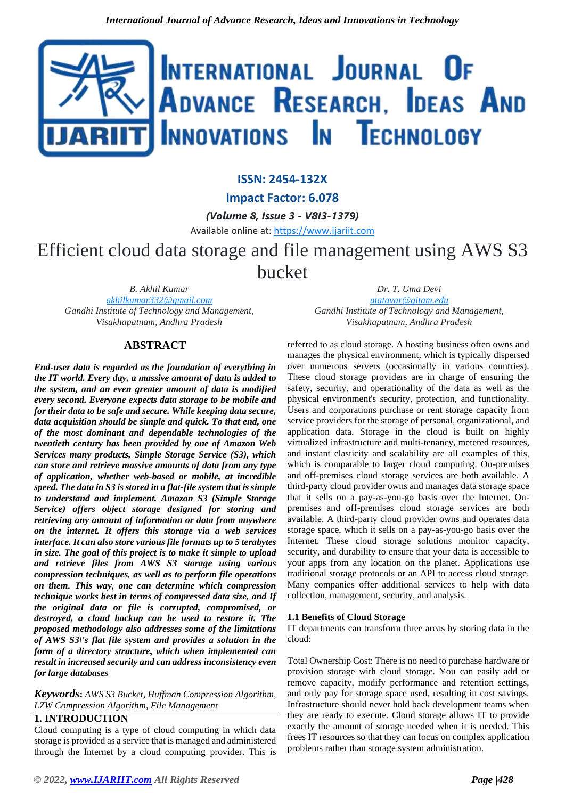

# **ISSN: 2454-132X**

**Impact Factor: 6.078**

*(Volume 8, Issue 3 - V8I3-1379)*

Available online at: [https://www.ijariit.com](https://www.ijariit.com/?utm_source=pdf&utm_medium=edition&utm_campaign=OmAkSols&utm_term=V8I3-1379)

# Efficient cloud data storage and file management using AWS S3 bucket

*B. Akhil Kumar [akhilkumar332@gmail.com](mailto:akhilkumar332@gmail.com) Gandhi Institute of Technology and Management, Visakhapatnam, Andhra Pradesh*

*Dr. T. Uma Devi [utatavar@gitam.edu](mailto:utatavar@gitam.edu) Gandhi Institute of Technology and Management, Visakhapatnam, Andhra Pradesh*

#### **ABSTRACT**

*End-user data is regarded as the foundation of everything in the IT world. Every day, a massive amount of data is added to the system, and an even greater amount of data is modified every second. Everyone expects data storage to be mobile and for their data to be safe and secure. While keeping data secure, data acquisition should be simple and quick. To that end, one of the most dominant and dependable technologies of the twentieth century has been provided by one of Amazon Web Services many products, Simple Storage Service (S3), which can store and retrieve massive amounts of data from any type of application, whether web-based or mobile, at incredible speed. The data in S3 is stored in a flat-file system that is simple to understand and implement. Amazon S3 (Simple Storage Service) offers object storage designed for storing and retrieving any amount of information or data from anywhere on the internet. It offers this storage via a web services interface. It can also store various file formats up to 5 terabytes in size. The goal of this project is to make it simple to upload and retrieve files from AWS S3 storage using various compression techniques, as well as to perform file operations on them. This way, one can determine which compression technique works best in terms of compressed data size, and If the original data or file is corrupted, compromised, or destroyed, a cloud backup can be used to restore it. The proposed methodology also addresses some of the limitations of AWS S3\'s flat file system and provides a solution in the form of a directory structure, which when implemented can result in increased security and can address inconsistency even for large databases*

*Keywords***:** *AWS S3 Bucket, Huffman Compression Algorithm, LZW Compression Algorithm, File Management*

## **1. INTRODUCTION**

Cloud computing is a type of cloud computing in which data storage is provided as a service that is managed and administered through the Internet by a cloud computing provider. This is referred to as cloud storage. A hosting business often owns and manages the physical environment, which is typically dispersed over numerous servers (occasionally in various countries). These cloud storage providers are in charge of ensuring the safety, security, and operationality of the data as well as the physical environment's security, protection, and functionality. Users and corporations purchase or rent storage capacity from service providers for the storage of personal, organizational, and application data. Storage in the cloud is built on highly virtualized infrastructure and multi-tenancy, metered resources, and instant elasticity and scalability are all examples of this, which is comparable to larger cloud computing. On-premises and off-premises cloud storage services are both available. A third-party cloud provider owns and manages data storage space that it sells on a pay-as-you-go basis over the Internet. Onpremises and off-premises cloud storage services are both available. A third-party cloud provider owns and operates data storage space, which it sells on a pay-as-you-go basis over the Internet. These cloud storage solutions monitor capacity, security, and durability to ensure that your data is accessible to your apps from any location on the planet. Applications use traditional storage protocols or an API to access cloud storage. Many companies offer additional services to help with data collection, management, security, and analysis.

# **1.1 Benefits of Cloud Storage**

IT departments can transform three areas by storing data in the cloud:

Total Ownership Cost: There is no need to purchase hardware or provision storage with cloud storage. You can easily add or remove capacity, modify performance and retention settings, and only pay for storage space used, resulting in cost savings. Infrastructure should never hold back development teams when they are ready to execute. Cloud storage allows IT to provide exactly the amount of storage needed when it is needed. This frees IT resources so that they can focus on complex application problems rather than storage system administration.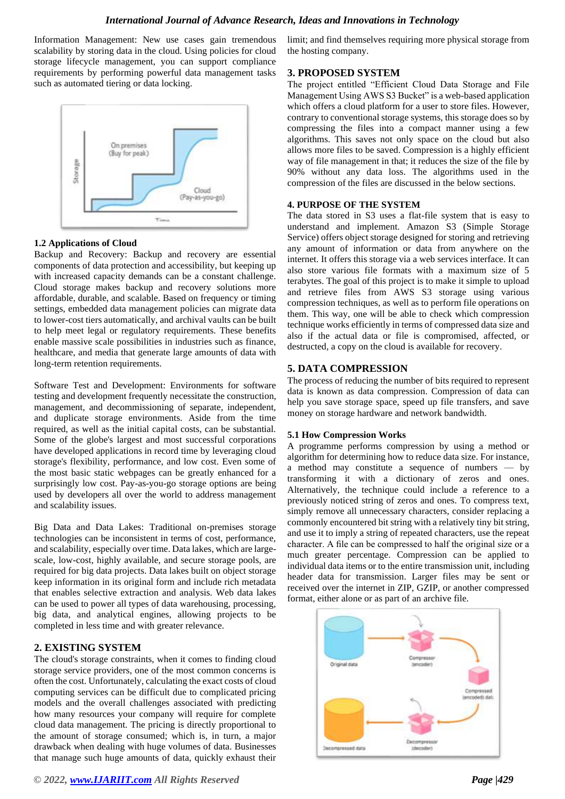Information Management: New use cases gain tremendous scalability by storing data in the cloud. Using policies for cloud storage lifecycle management, you can support compliance requirements by performing powerful data management tasks such as automated tiering or data locking.



#### **1.2 Applications of Cloud**

Backup and Recovery: Backup and recovery are essential components of data protection and accessibility, but keeping up with increased capacity demands can be a constant challenge. Cloud storage makes backup and recovery solutions more affordable, durable, and scalable. Based on frequency or timing settings, embedded data management policies can migrate data to lower-cost tiers automatically, and archival vaults can be built to help meet legal or regulatory requirements. These benefits enable massive scale possibilities in industries such as finance, healthcare, and media that generate large amounts of data with long-term retention requirements.

Software Test and Development: Environments for software testing and development frequently necessitate the construction, management, and decommissioning of separate, independent, and duplicate storage environments. Aside from the time required, as well as the initial capital costs, can be substantial. Some of the globe's largest and most successful corporations have developed applications in record time by leveraging cloud storage's flexibility, performance, and low cost. Even some of the most basic static webpages can be greatly enhanced for a surprisingly low cost. Pay-as-you-go storage options are being used by developers all over the world to address management and scalability issues.

Big Data and Data Lakes: Traditional on-premises storage technologies can be inconsistent in terms of cost, performance, and scalability, especially over time. Data lakes, which are largescale, low-cost, highly available, and secure storage pools, are required for big data projects. Data lakes built on object storage keep information in its original form and include rich metadata that enables selective extraction and analysis. Web data lakes can be used to power all types of data warehousing, processing, big data, and analytical engines, allowing projects to be completed in less time and with greater relevance.

# **2. EXISTING SYSTEM**

The cloud's storage constraints, when it comes to finding cloud storage service providers, one of the most common concerns is often the cost. Unfortunately, calculating the exact costs of cloud computing services can be difficult due to complicated pricing models and the overall challenges associated with predicting how many resources your company will require for complete cloud data management. The pricing is directly proportional to the amount of storage consumed; which is, in turn, a major drawback when dealing with huge volumes of data. Businesses that manage such huge amounts of data, quickly exhaust their

limit; and find themselves requiring more physical storage from the hosting company.

# **3. PROPOSED SYSTEM**

The project entitled "Efficient Cloud Data Storage and File Management Using AWS S3 Bucket" is a web-based application which offers a cloud platform for a user to store files. However, contrary to conventional storage systems, this storage does so by compressing the files into a compact manner using a few algorithms. This saves not only space on the cloud but also allows more files to be saved. Compression is a highly efficient way of file management in that; it reduces the size of the file by 90% without any data loss. The algorithms used in the compression of the files are discussed in the below sections.

#### **4. PURPOSE OF THE SYSTEM**

The data stored in S3 uses a flat-file system that is easy to understand and implement. Amazon S3 (Simple Storage Service) offers object storage designed for storing and retrieving any amount of information or data from anywhere on the internet. It offers this storage via a web services interface. It can also store various file formats with a maximum size of 5 terabytes. The goal of this project is to make it simple to upload and retrieve files from AWS S3 storage using various compression techniques, as well as to perform file operations on them. This way, one will be able to check which compression technique works efficiently in terms of compressed data size and also if the actual data or file is compromised, affected, or destructed, a copy on the cloud is available for recovery.

# **5. DATA COMPRESSION**

The process of reducing the number of bits required to represent data is known as data compression. Compression of data can help you save storage space, speed up file transfers, and save money on storage hardware and network bandwidth.

#### **5.1 How Compression Works**

A programme performs compression by using a method or algorithm for determining how to reduce data size. For instance, a method may constitute a sequence of numbers — by transforming it with a dictionary of zeros and ones. Alternatively, the technique could include a reference to a previously noticed string of zeros and ones. To compress text, simply remove all unnecessary characters, consider replacing a commonly encountered bit string with a relatively tiny bit string, and use it to imply a string of repeated characters, use the repeat character. A file can be compressed to half the original size or a much greater percentage. Compression can be applied to individual data items or to the entire transmission unit, including header data for transmission. Larger files may be sent or received over the internet in ZIP, GZIP, or another compressed format, either alone or as part of an archive file.

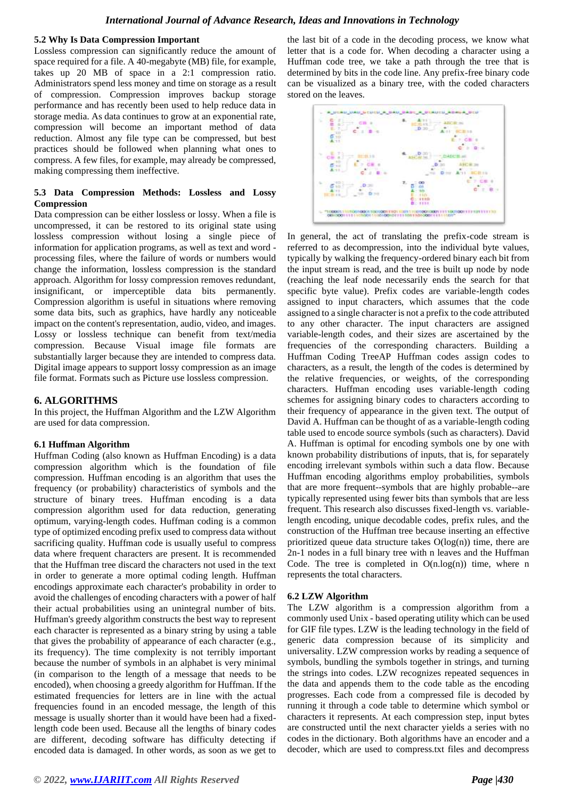#### **5.2 Why Is Data Compression Important**

Lossless compression can significantly reduce the amount of space required for a file. A 40-megabyte (MB) file, for example, takes up 20 MB of space in a 2:1 compression ratio. Administrators spend less money and time on storage as a result of compression. Compression improves backup storage performance and has recently been used to help reduce data in storage media. As data continues to grow at an exponential rate, compression will become an important method of data reduction. Almost any file type can be compressed, but best practices should be followed when planning what ones to compress. A few files, for example, may already be compressed, making compressing them ineffective.

#### **5.3 Data Compression Methods: Lossless and Lossy Compression**

Data compression can be either lossless or lossy. When a file is uncompressed, it can be restored to its original state using lossless compression without losing a single piece of information for application programs, as well as text and word processing files, where the failure of words or numbers would change the information, lossless compression is the standard approach. Algorithm for lossy compression removes redundant, insignificant, or imperceptible data bits permanently. Compression algorithm is useful in situations where removing some data bits, such as graphics, have hardly any noticeable impact on the content's representation, audio, video, and images. Lossy or lossless technique can benefit from text/media compression. Because Visual image file formats are substantially larger because they are intended to compress data. Digital image appears to support lossy compression as an image file format. Formats such as Picture use lossless compression.

## **6. ALGORITHMS**

In this project, the Huffman Algorithm and the LZW Algorithm are used for data compression.

#### **6.1 Huffman Algorithm**

Huffman Coding (also known as Huffman Encoding) is a data compression algorithm which is the foundation of file compression. Huffman encoding is an algorithm that uses the frequency (or probability) characteristics of symbols and the structure of binary trees. Huffman encoding is a data compression algorithm used for data reduction, generating optimum, varying-length codes. Huffman coding is a common type of optimized encoding prefix used to compress data without sacrificing quality. Huffman code is usually useful to compress data where frequent characters are present. It is recommended that the Huffman tree discard the characters not used in the text in order to generate a more optimal coding length. Huffman encodings approximate each character's probability in order to avoid the challenges of encoding characters with a power of half their actual probabilities using an unintegral number of bits. Huffman's greedy algorithm constructs the best way to represent each character is represented as a binary string by using a table that gives the probability of appearance of each character (e.g., its frequency). The time complexity is not terribly important because the number of symbols in an alphabet is very minimal (in comparison to the length of a message that needs to be encoded), when choosing a greedy algorithm for Huffman. If the estimated frequencies for letters are in line with the actual frequencies found in an encoded message, the length of this message is usually shorter than it would have been had a fixedlength code been used. Because all the lengths of binary codes are different, decoding software has difficulty detecting if encoded data is damaged. In other words, as soon as we get to

the last bit of a code in the decoding process, we know what letter that is a code for. When decoding a character using a Huffman code tree, we take a path through the tree that is determined by bits in the code line. Any prefix-free binary code can be visualized as a binary tree, with the coded characters stored on the leaves.



In general, the act of translating the prefix-code stream is referred to as decompression, into the individual byte values, typically by walking the frequency-ordered binary each bit from the input stream is read, and the tree is built up node by node (reaching the leaf node necessarily ends the search for that specific byte value). Prefix codes are variable-length codes assigned to input characters, which assumes that the code assigned to a single character is not a prefix to the code attributed to any other character. The input characters are assigned variable-length codes, and their sizes are ascertained by the frequencies of the corresponding characters. Building a Huffman Coding TreeAP Huffman codes assign codes to characters, as a result, the length of the codes is determined by the relative frequencies, or weights, of the corresponding characters. Huffman encoding uses variable-length coding schemes for assigning binary codes to characters according to their frequency of appearance in the given text. The output of David A. Huffman can be thought of as a variable-length coding table used to encode source symbols (such as characters). David A. Huffman is optimal for encoding symbols one by one with known probability distributions of inputs, that is, for separately encoding irrelevant symbols within such a data flow. Because Huffman encoding algorithms employ probabilities, symbols that are more frequent--symbols that are highly probable--are typically represented using fewer bits than symbols that are less frequent. This research also discusses fixed-length vs. variablelength encoding, unique decodable codes, prefix rules, and the construction of the Huffman tree because inserting an effective prioritized queue data structure takes  $O(log(n))$  time, there are 2n-1 nodes in a full binary tree with n leaves and the Huffman Code. The tree is completed in  $O(n.log(n))$  time, where n represents the total characters.

#### **6.2 LZW Algorithm**

The LZW algorithm is a compression algorithm from a commonly used Unix - based operating utility which can be used for GIF file types. LZW is the leading technology in the field of generic data compression because of its simplicity and universality. LZW compression works by reading a sequence of symbols, bundling the symbols together in strings, and turning the strings into codes. LZW recognizes repeated sequences in the data and appends them to the code table as the encoding progresses. Each code from a compressed file is decoded by running it through a code table to determine which symbol or characters it represents. At each compression step, input bytes are constructed until the next character yields a series with no codes in the dictionary. Both algorithms have an encoder and a decoder, which are used to compress.txt files and decompress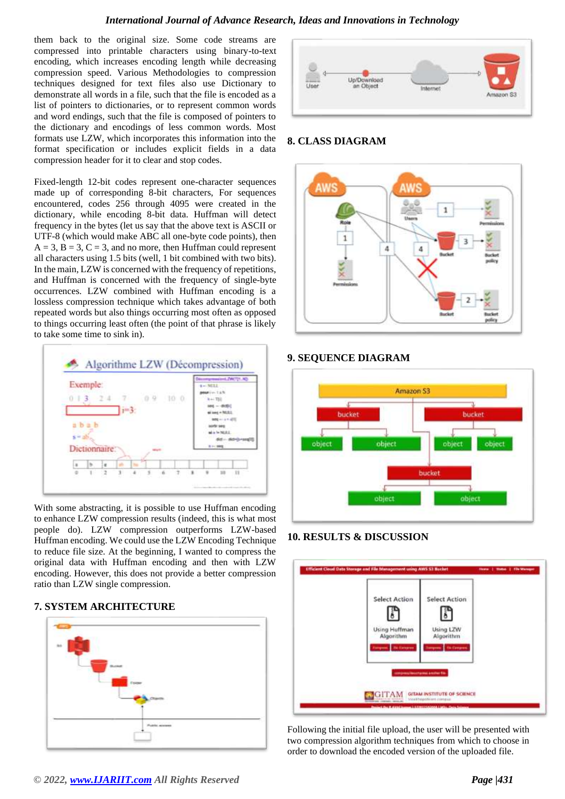them back to the original size. Some code streams are compressed into printable characters using binary-to-text encoding, which increases encoding length while decreasing compression speed. Various Methodologies to compression techniques designed for text files also use Dictionary to demonstrate all words in a file, such that the file is encoded as a list of pointers to dictionaries, or to represent common words and word endings, such that the file is composed of pointers to the dictionary and encodings of less common words. Most formats use LZW, which incorporates this information into the format specification or includes explicit fields in a data compression header for it to clear and stop codes.

Fixed-length 12-bit codes represent one-character sequences made up of corresponding 8-bit characters, For sequences encountered, codes 256 through 4095 were created in the dictionary, while encoding 8-bit data. Huffman will detect frequency in the bytes (let us say that the above text is ASCII or UTF-8 (which would make ABC all one-byte code points), then  $A = 3$ ,  $B = 3$ ,  $C = 3$ , and no more, then Huffman could represent all characters using 1.5 bits (well, 1 bit combined with two bits). In the main, LZW is concerned with the frequency of repetitions, and Huffman is concerned with the frequency of single-byte occurrences. LZW combined with Huffman encoding is a lossless compression technique which takes advantage of both repeated words but also things occurring most often as opposed to things occurring least often (the point of that phrase is likely to take some time to sink in).



With some abstracting, it is possible to use Huffman encoding to enhance LZW compression results (indeed, this is what most people do). LZW compression outperforms LZW-based Huffman encoding. We could use the LZW Encoding Technique to reduce file size. At the beginning, I wanted to compress the original data with Huffman encoding and then with LZW encoding. However, this does not provide a better compression ratio than LZW single compression.

# **7. SYSTEM ARCHITECTURE**





# **8. CLASS DIAGRAM**



# **9. SEQUENCE DIAGRAM**



# **10. RESULTS & DISCUSSION**



Following the initial file upload, the user will be presented with two compression algorithm techniques from which to choose in order to download the encoded version of the uploaded file.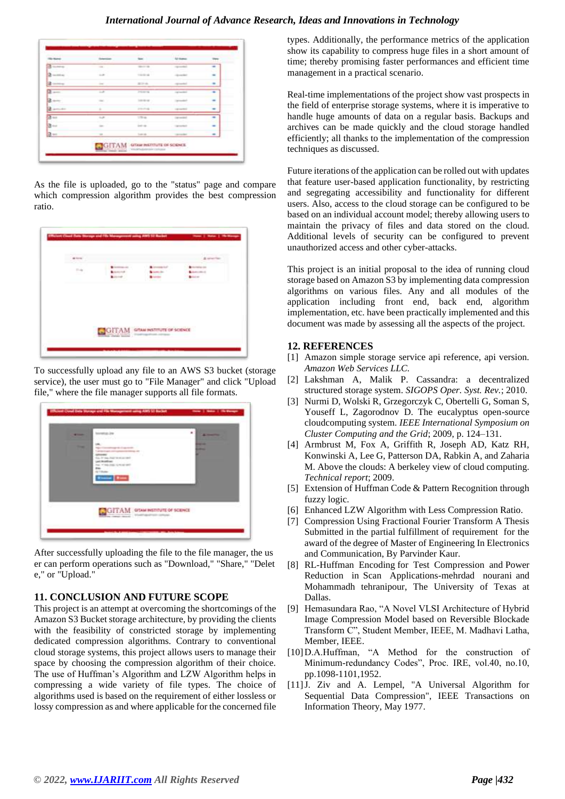| <b>Artists</b> | <b>Scheming</b>                                                                                                                                                                                                                                                                                                                                                      | ter.              | <b>Albert</b><br><b>U</b> tumo |   |
|----------------|----------------------------------------------------------------------------------------------------------------------------------------------------------------------------------------------------------------------------------------------------------------------------------------------------------------------------------------------------------------------|-------------------|--------------------------------|---|
| $2 - 1$        | $\sim$                                                                                                                                                                                                                                                                                                                                                               | <b>CONTRACTOR</b> | representative                 | ٠ |
| $2 - m$        | ٠.<br>$\sim$                                                                                                                                                                                                                                                                                                                                                         | <b>TANK ALL</b>   | <b>LESSAGE</b>                 |   |
| $2 - \infty$   | $\sim$                                                                                                                                                                                                                                                                                                                                                               | <b>ALCOHOL:</b>   | <b>STANDARD</b>                |   |
| $2 - 1$        | $\overline{a}$                                                                                                                                                                                                                                                                                                                                                       | <b>PERMIT</b>     | Tarrented                      | ۰ |
| $3 - 1$        | $\frac{1}{2} \sum_{i=1}^{n} \frac{1}{2} \sum_{i=1}^{n} \frac{1}{2} \sum_{i=1}^{n} \frac{1}{2} \sum_{i=1}^{n} \frac{1}{2} \sum_{i=1}^{n} \frac{1}{2} \sum_{i=1}^{n} \frac{1}{2} \sum_{i=1}^{n} \frac{1}{2} \sum_{i=1}^{n} \frac{1}{2} \sum_{i=1}^{n} \frac{1}{2} \sum_{i=1}^{n} \frac{1}{2} \sum_{i=1}^{n} \frac{1}{2} \sum_{i=1}^{n} \frac{1}{2} \sum_{i=1}^{n$<br>œ | <b>Location</b>   | <b>Calculated</b>              |   |
| $2 - -$        | ٠                                                                                                                                                                                                                                                                                                                                                                    | 2101214           | <b>CANNADA</b>                 |   |
|                | the <b>A</b>                                                                                                                                                                                                                                                                                                                                                         | TTH.              | <b>DEMAND</b>                  | ٠ |
| $\frac{3}{3}$  | $\sim$                                                                                                                                                                                                                                                                                                                                                               | in a              | Carried Wall                   | ۰ |
| $\frac{1}{2}$  | $\equiv$                                                                                                                                                                                                                                                                                                                                                             | Total all         | <b>Service</b>                 |   |

As the file is uploaded, go to the "status" page and compare which compression algorithm provides the best compression ratio.



To successfully upload any file to an AWS S3 bucket (storage service), the user must go to "File Manager" and click "Upload file," where the file manager supports all file formats.

| -                                 | borderate (ex-                                                                   | ٠<br><b>All reserves</b> |
|-----------------------------------|----------------------------------------------------------------------------------|--------------------------|
| <b>Contract Contract Contract</b> | worked to apply the charge streets<br>Carrier traditions and contact the         | --<br><b>STATISTICS</b>  |
|                                   | that for two chair in mice and<br>Let Audiec<br>Ing. of this cost, to most staff |                          |
|                                   | Box.<br><b>PETTRAIN</b><br><b>Electric Electric</b>                              |                          |
|                                   |                                                                                  |                          |
|                                   |                                                                                  |                          |
|                                   | <b>GITAM</b> STAM INSTITUTE OF SCIENCE                                           |                          |

After successfully uploading the file to the file manager, the us er can perform operations such as "Download," "Share," "Delet e," or "Upload."

# **11. CONCLUSION AND FUTURE SCOPE**

This project is an attempt at overcoming the shortcomings of the Amazon S3 Bucket storage architecture, by providing the clients with the feasibility of constricted storage by implementing dedicated compression algorithms. Contrary to conventional cloud storage systems, this project allows users to manage their space by choosing the compression algorithm of their choice. The use of Huffman's Algorithm and LZW Algorithm helps in compressing a wide variety of file types. The choice of algorithms used is based on the requirement of either lossless or lossy compression as and where applicable for the concerned file

types. Additionally, the performance metrics of the application show its capability to compress huge files in a short amount of time; thereby promising faster performances and efficient time management in a practical scenario.

Real-time implementations of the project show vast prospects in the field of enterprise storage systems, where it is imperative to handle huge amounts of data on a regular basis. Backups and archives can be made quickly and the cloud storage handled efficiently; all thanks to the implementation of the compression techniques as discussed.

Future iterations of the application can be rolled out with updates that feature user-based application functionality, by restricting and segregating accessibility and functionality for different users. Also, access to the cloud storage can be configured to be based on an individual account model; thereby allowing users to maintain the privacy of files and data stored on the cloud. Additional levels of security can be configured to prevent unauthorized access and other cyber-attacks.

This project is an initial proposal to the idea of running cloud storage based on Amazon S3 by implementing data compression algorithms on various files. Any and all modules of the application including front end, back end, algorithm implementation, etc. have been practically implemented and this document was made by assessing all the aspects of the project.

#### **12. REFERENCES**

- [1] Amazon simple storage service api reference, api version. *Amazon Web Services LLC.*
- [2] Lakshman A, Malik P. Cassandra: a decentralized structured storage system. *SIGOPS Oper. Syst. Rev.*; 2010.
- [3] Nurmi D, Wolski R, Grzegorczyk C, Obertelli G, Soman S, Youseff L, Zagorodnov D. The eucalyptus open-source cloudcomputing system. *IEEE International Symposium on Cluster Computing and the Grid*; 2009, p. 124–131.
- [4] Armbrust M, Fox A, Griffith R, Joseph AD, Katz RH, Konwinski A, Lee G, Patterson DA, Rabkin A, and Zaharia M. Above the clouds: A berkeley view of cloud computing. *Technical report*; 2009.
- [5] Extension of Huffman Code & Pattern Recognition through fuzzy logic.
- [6] Enhanced LZW Algorithm with Less Compression Ratio.
- [7] Compression Using Fractional Fourier Transform A Thesis Submitted in the partial fulfillment of requirement for the award of the degree of Master of Engineering In Electronics and Communication, By Parvinder Kaur.
- [8] RL-Huffman Encoding for Test Compression and Power Reduction in Scan Applications-mehrdad nourani and Mohammadh tehranipour, The University of Texas at Dallas.
- [9] Hemasundara Rao, "A Novel VLSI Architecture of Hybrid Image Compression Model based on Reversible Blockade Transform C", Student Member, IEEE, M. Madhavi Latha, Member, IEEE.
- [10]D.A.Huffman, "A Method for the construction of Minimum-redundancy Codes", Proc. IRE, vol.40, no.10, pp.1098-1101,1952.
- [11]J. Ziv and A. Lempel, "A Universal Algorithm for Sequential Data Compression", IEEE Transactions on Information Theory, May 1977.